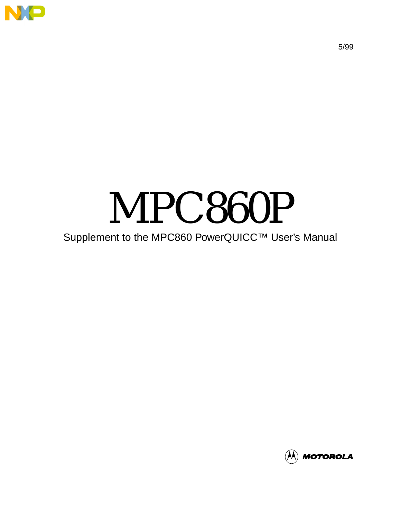

# MPC860P

Supplement to the MPC860 PowerQUICC™ User's Manual



5/99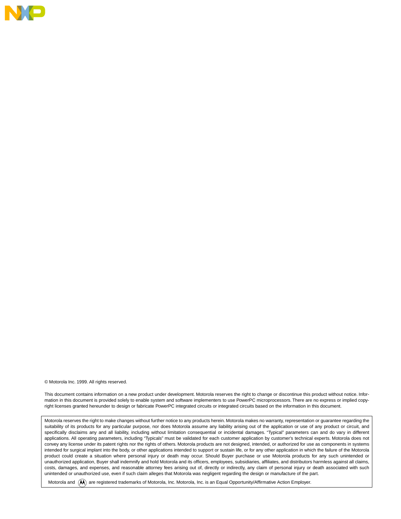

© Motorola Inc. 1999. All rights reserved.

This document contains information on a new product under development. Motorola reserves the right to change or discontinue this product without notice. Information in this document is provided solely to enable system and software implementers to use PowerPC microprocessors. There are no express or implied copyright licenses granted hereunder to design or fabricate PowerPC integrated circuits or integrated circuits based on the information in this document.

Motorola reserves the right to make changes without further notice to any products herein. Motorola makes no warranty, representation or guarantee regarding the suitability of its products for any particular purpose, nor does Motorola assume any liability arising out of the application or use of any product or circuit, and specifically disclaims any and all liability, including without limitation consequential or incidental damages. "Typical" parameters can and do vary in different applications. All operating parameters, including "Typicals" must be validated for each customer application by customer's technical experts. Motorola does not convey any license under its patent rights nor the rights of others. Motorola products are not designed, intended, or authorized for use as components in systems intended for surgical implant into the body, or other applications intended to support or sustain life, or for any other application in which the failure of the Motorola product could create a situation where personal injury or death may occur. Should Buyer purchase or use Motorola products for any such unintended or unauthorized application, Buyer shall indemnify and hold Motorola and its officers, employees, subsidiaries, affiliates, and distributors harmless against all claims, costs, damages, and expenses, and reasonable attorney fees arising out of, directly or indirectly, any claim of personal injury or death associated with such unintended or unauthorized use, even if such claim alleges that Motorola was negligent regarding the design or manufacture of the part.

Motorola and (AA) are registered trademarks of Motorola, Inc. Motorola, Inc. is an Equal Opportunity/Affirmative Action Employer.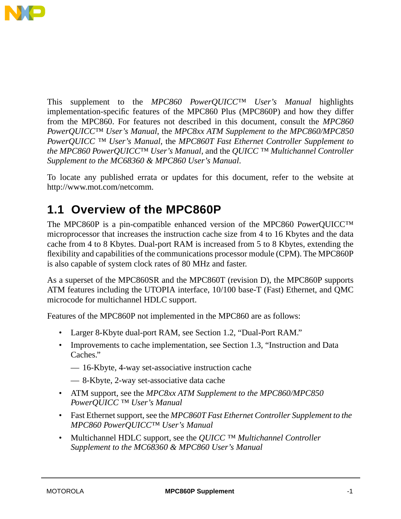

This supplement to the *MPC860 PowerQUICC™ User's Manual* highlights implementation-specific features of the MPC860 Plus (MPC860P) and how they differ from the MPC860. For features not described in this document, consult the *MPC860 PowerQUICC™ User's Manual*, the *MPC8xx ATM Supplement to the MPC860/MPC850 PowerQUICC ™ User's Manual*, the *MPC860T Fast Ethernet Controller Supplement to the MPC860 PowerQUICC™ User's Manual*, and the *QUICC ™ Multichannel Controller Supplement to the MC68360 & MPC860 User's Manual*.

To locate any published errata or updates for this document, refer to the website at http://www.mot.com/netcomm.

# **1.1 Overview of the MPC860P**

The MPC860P is a pin-compatible enhanced version of the MPC860 PowerQUICC™ microprocessor that increases the instruction cache size from 4 to 16 Kbytes and the data cache from 4 to 8 Kbytes. Dual-port RAM is increased from 5 to 8 Kbytes, extending the flexibility and capabilities of the communications processor module (CPM). The MPC860P is also capable of system clock rates of 80 MHz and faster.

As a superset of the MPC860SR and the MPC860T (revision D), the MPC860P supports ATM features including the UTOPIA interface, 10/100 base-T (Fast) Ethernet, and QMC microcode for multichannel HDLC support.

Features of the MPC860P not implemented in the MPC860 are as follows:

- Larger 8-Kbyte dual-port RAM, see [Section 1.2, "Dual-Port RAM](#page-4-0)."
- Improvements to cache implementation, see Section 1.3, "Instruction and Data [Caches.](#page-7-0)"
	- 16-Kbyte, 4-way set-associative instruction cache
	- 8-Kbyte, 2-way set-associative data cache
- ATM support, see the *MPC8xx ATM Supplement to the MPC860/MPC850 PowerQUICC ™ User's Manual*
- Fast Ethernet support, see the *MPC860T Fast Ethernet Controller Supplement to the MPC860 PowerQUICC™ User's Manual*
- Multichannel HDLC support, see the *QUICC ™ Multichannel Controller Supplement to the MC68360 & MPC860 User's Manual*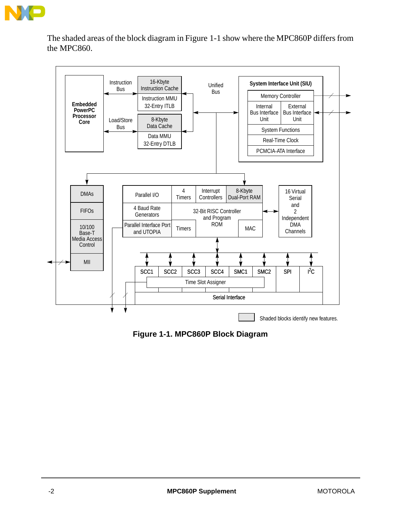

The shaded areas of the block diagram in [Figure 1-1](#page-3-0) show where the MPC860P differs from the MPC860.



<span id="page-3-0"></span>**Figure 1-1. MPC860P Block Diagram**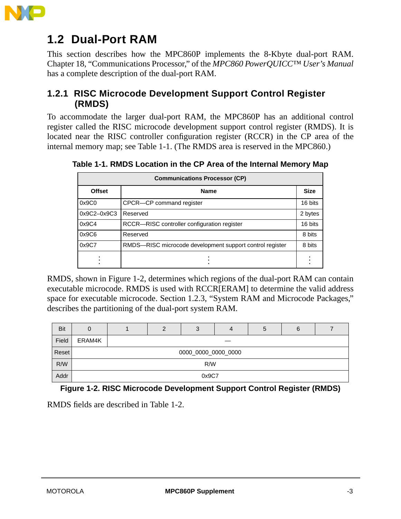

# <span id="page-4-0"></span>**1.2 Dual-Port RAM**

This section describes how the MPC860P implements the 8-Kbyte dual-port RAM. Chapter 18, "Communications Processor," of the *MPC860 PowerQUICC™ User's Manual* has a complete description of the dual-port RAM.

## **1.2.1 RISC Microcode Development Support Control Register (RMDS)**

To accommodate the larger dual-port RAM, the MPC860P has an additional control register called the RISC microcode development support control register (RMDS). It is located near the RISC controller configuration register (RCCR) in the CP area of the internal memory map; see [Table 1-1.](#page-4-2) (The RMDS area is reserved in the MPC860.)

<span id="page-4-2"></span>**Table 1-1. RMDS Location in the CP Area of the Internal Memory Map**

| <b>Communications Processor (CP)</b> |                                                          |         |  |  |  |
|--------------------------------------|----------------------------------------------------------|---------|--|--|--|
| <b>Offset</b>                        | <b>Name</b>                                              |         |  |  |  |
| 0x9C0                                | CPCR-CP command register                                 | 16 bits |  |  |  |
| $0x9C2 - 0x9C3$                      | Reserved                                                 | 2 bytes |  |  |  |
| 0x9C4                                | RCCR-RISC controller configuration register              | 16 bits |  |  |  |
| 0x9C6                                | Reserved                                                 | 8 bits  |  |  |  |
| 0x9C7                                | RMDS-RISC microcode development support control register | 8 bits  |  |  |  |
|                                      |                                                          |         |  |  |  |

RMDS, shown in [Figure 1-2](#page-4-1), determines which regions of the dual-port RAM can contain executable microcode. RMDS is used with RCCR[ERAM] to determine the valid address space for executable microcode. [Section 1.2.3, "System RAM and Microcode Packages,](#page-6-0)" describes the partitioning of the dual-port system RAM.

| Bit   |                     |  | 2 | 3 | 4 | 5 | 6 |  |
|-------|---------------------|--|---|---|---|---|---|--|
| Field | ERAM4K              |  |   |   |   |   |   |  |
| Reset | 0000_0000_0000_0000 |  |   |   |   |   |   |  |
| R/W   | R/W                 |  |   |   |   |   |   |  |
| Addr  | 0x9C7               |  |   |   |   |   |   |  |

### <span id="page-4-1"></span>**Figure 1-2. RISC Microcode Development Support Control Register (RMDS)**

RMDS fields are described in [Table 1-2](#page-5-0).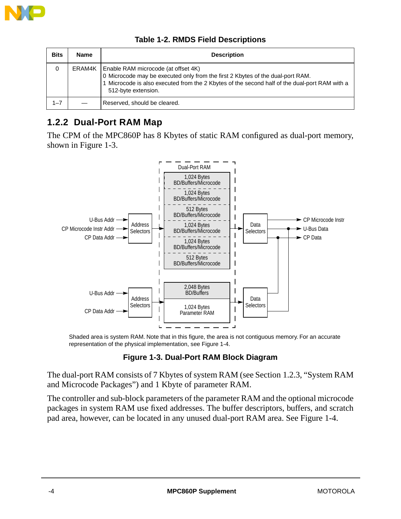

<span id="page-5-0"></span>

| <b>Bits</b> | <b>Name</b> | <b>Description</b>                                                                                                                                                                                                                                     |
|-------------|-------------|--------------------------------------------------------------------------------------------------------------------------------------------------------------------------------------------------------------------------------------------------------|
| 0           |             | ERAM4K   Enable RAM microcode (at offset 4K)<br>0 Microcode may be executed only from the first 2 Kbytes of the dual-port RAM.<br>1 Microcode is also executed from the 2 Kbytes of the second half of the dual-port RAM with a<br>512-byte extension. |
| $1 - 7$     |             | Reserved, should be cleared.                                                                                                                                                                                                                           |

#### **Table 1-2. RMDS Field Descriptions**

## **1.2.2 Dual-Port RAM Map**

The CPM of the MPC860P has 8 Kbytes of static RAM configured as dual-port memory, shown in [Figure 1-3.](#page-5-1)



Shaded area is system RAM. Note that in this figure, the area is not contiguous memory. For an accurate representation of the physical implementation, see [Figure 1-4](#page-6-1).

#### **Figure 1-3. Dual-Port RAM Block Diagram**

<span id="page-5-1"></span>The dual-port RAM consists of 7 Kbytes of system RAM (see [Section 1.2.3, "System RAM](#page-6-0) [and Microcode Packages"](#page-6-0)) and 1 Kbyte of parameter RAM.

The controller and sub-block parameters of the parameter RAM and the optional microcode packages in system RAM use fixed addresses. The buffer descriptors, buffers, and scratch pad area, however, can be located in any unused dual-port RAM area. See [Figure 1-4](#page-6-1).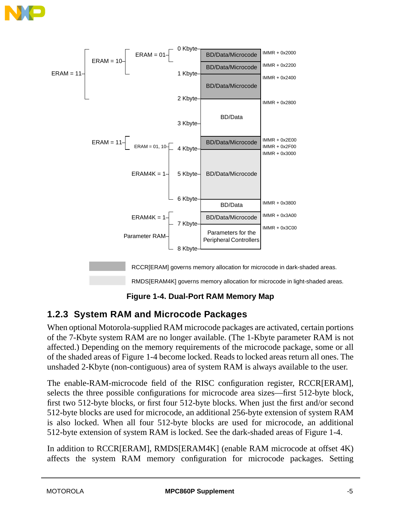



RMDS[ERAM4K] governs memory allocation for microcode in light-shaded areas.

**Figure 1-4. Dual-Port RAM Memory Map**

## <span id="page-6-1"></span><span id="page-6-0"></span>**1.2.3 System RAM and Microcode Packages**

When optional Motorola-supplied RAM microcode packages are activated, certain portions of the 7-Kbyte system RAM are no longer available. (The 1-Kbyte parameter RAM is not affected.) Depending on the memory requirements of the microcode package, some or all of the shaded areas of [Figure 1-4](#page-6-1) become locked. Reads to locked areas return all ones. The unshaded 2-Kbyte (non-contiguous) area of system RAM is always available to the user.

The enable-RAM-microcode field of the RISC configuration register, RCCR[ERAM], selects the three possible configurations for microcode area sizes—first 512-byte block, first two 512-byte blocks, or first four 512-byte blocks. When just the first and/or second 512-byte blocks are used for microcode, an additional 256-byte extension of system RAM is also locked. When all four 512-byte blocks are used for microcode, an additional 512-byte extension of system RAM is locked. See the dark-shaded areas of [Figure 1-4](#page-6-1).

In addition to RCCR[ERAM], RMDS[ERAM4K] (enable RAM microcode at offset 4K) affects the system RAM memory configuration for microcode packages. Setting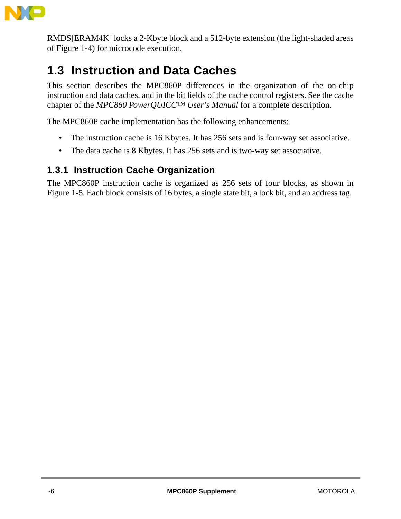

RMDS[ERAM4K] locks a 2-Kbyte block and a 512-byte extension (the light-shaded areas of [Figure 1-4\)](#page-6-1) for microcode execution.

# <span id="page-7-0"></span>**1.3 Instruction and Data Caches**

This section describes the MPC860P differences in the organization of the on-chip instruction and data caches, and in the bit fields of the cache control registers. See the cache chapter of the *MPC860 PowerQUICC™ User's Manual* for a complete description.

The MPC860P cache implementation has the following enhancements:

- The instruction cache is 16 Kbytes. It has 256 sets and is four-way set associative.
- The data cache is 8 Kbytes. It has 256 sets and is two-way set associative.

## **1.3.1 Instruction Cache Organization**

The MPC860P instruction cache is organized as 256 sets of four blocks, as shown in [Figure 1-5.](#page-8-0) Each block consists of 16 bytes, a single state bit, a lock bit, and an address tag.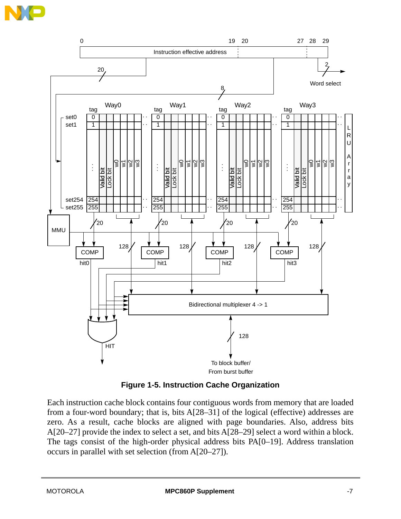



**Figure 1-5. Instruction Cache Organization** 

<span id="page-8-0"></span>Each instruction cache block contains four contiguous words from memory that are loaded from a four-word boundary; that is, bits A[28–31] of the logical (effective) addresses are zero. As a result, cache blocks are aligned with page boundaries. Also, address bits A[20–27] provide the index to select a set, and bits A[28–29] select a word within a block. The tags consist of the high-order physical address bits PA $[0-19]$ . Address translation occurs in parallel with set selection (from A $[20-27]$ ).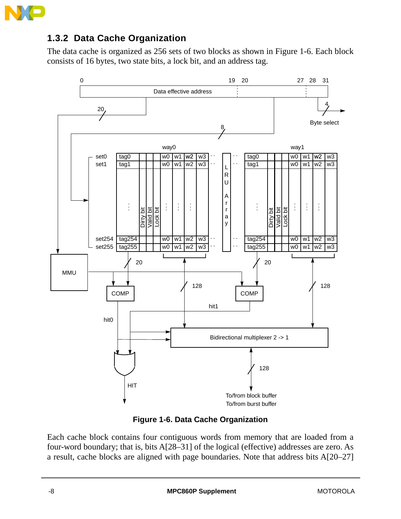

## **1.3.2 Data Cache Organization**

The data cache is organized as 256 sets of two blocks as shown in [Figure 1-6.](#page-9-0) Each block consists of 16 bytes, two state bits, a lock bit, and an address tag.



**Figure 1-6. Data Cache Organization**

<span id="page-9-0"></span>Each cache block contains four contiguous words from memory that are loaded from a four-word boundary; that is, bits A[28–31] of the logical (effective) addresses are zero. As a result, cache blocks are aligned with page boundaries. Note that address bits A[20–27]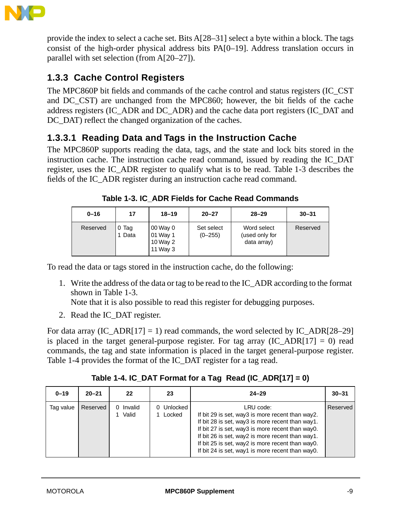

provide the index to select a cache set. Bits A[28–31] select a byte within a block. The tags consist of the high-order physical address bits PA[0–19]. Address translation occurs in parallel with set selection (from A[20–27]).

## **1.3.3 Cache Control Registers**

The MPC860P bit fields and commands of the cache control and status registers (IC\_CST and DC\_CST) are unchanged from the MPC860; however, the bit fields of the cache address registers (IC\_ADR and DC\_ADR) and the cache data port registers (IC\_DAT and DC\_DAT) reflect the changed organization of the caches.

## **1.3.3.1 Reading Data and Tags in the Instruction Cache**

The MPC860P supports reading the data, tags, and the state and lock bits stored in the instruction cache. The instruction cache read command, issued by reading the IC\_DAT register, uses the IC\_ADR register to qualify what is to be read. [Table 1-3](#page-10-0) describes the fields of the IC\_ADR register during an instruction cache read command.

<span id="page-10-0"></span>

| $0 - 16$ | 17            | $18 - 19$                                    | $20 - 27$                 | $28 - 29$                                    | $30 - 31$ |
|----------|---------------|----------------------------------------------|---------------------------|----------------------------------------------|-----------|
| Reserved | Tag<br>1 Data | 00 Way 0<br>01 Way 1<br>10 Way 2<br>11 Way 3 | Set select<br>$(0 - 255)$ | Word select<br>(used only for<br>data array) | Reserved  |

**Table 1-3. IC\_ADR Fields for Cache Read Commands** 

To read the data or tags stored in the instruction cache, do the following:

1. Write the address of the data or tag to be read to the IC\_ADR according to the format shown in [Table 1-3](#page-10-0).

Note that it is also possible to read this register for debugging purposes.

2. Read the IC\_DAT register.

For data array  $(IC_ADR[17] = 1)$  read commands, the word selected by  $IC_ADR[28-29]$ is placed in the target general-purpose register. For tag array  $(IC\_ADR[17] = 0)$  read commands, the tag and state information is placed in the target general-purpose register. [Table 1-4](#page-10-1) provides the format of the IC DAT register for a tag read.

**Table 1-4. IC\_DAT Format for a Tag Read (IC\_ADR[17] = 0)**

<span id="page-10-1"></span>

| $0 - 19$  | $20 - 21$ | 22                    | 23                 | $24 - 29$                                                                                                                                                                                                                                                                                                                           | $30 - 31$ |
|-----------|-----------|-----------------------|--------------------|-------------------------------------------------------------------------------------------------------------------------------------------------------------------------------------------------------------------------------------------------------------------------------------------------------------------------------------|-----------|
| Tag value | Reserved  | Invalid<br>0<br>Valid | Unlocked<br>Locked | LRU code:<br>If bit 29 is set, way3 is more recent than way2.<br>If bit 28 is set, way3 is more recent than way1.<br>If bit 27 is set, way3 is more recent than way0.<br>If bit 26 is set, way2 is more recent than way1.<br>If bit 25 is set, way2 is more recent than way0.<br>If bit 24 is set, way 1 is more recent than way 0. | Reserved  |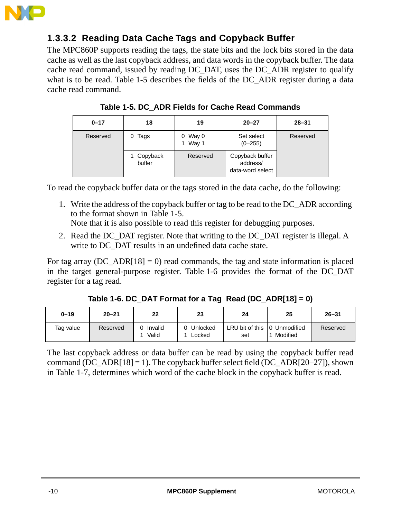

## **1.3.3.2 Reading Data Cache Tags and Copyback Buffer**

The MPC860P supports reading the tags, the state bits and the lock bits stored in the data cache as well as the last copyback address, and data words in the copyback buffer. The data cache read command, issued by reading DC\_DAT, uses the DC\_ADR register to qualify what is to be read. [Table 1-5](#page-11-0) describes the fields of the DC\_ADR register during a data cache read command.

<span id="page-11-0"></span>

| $0 - 17$ | 18                 | 19                       | $20 - 27$                                       | $28 - 31$ |
|----------|--------------------|--------------------------|-------------------------------------------------|-----------|
| Reserved | Tags<br>0          | Way 0<br>0<br>Way 1<br>1 | Set select<br>$(0 - 255)$                       | Reserved  |
|          | Copyback<br>buffer | Reserved                 | Copyback buffer<br>address/<br>data-word select |           |

**Table 1-5. DC\_ADR Fields for Cache Read Commands** 

To read the copyback buffer data or the tags stored in the data cache, do the following:

1. Write the address of the copyback buffer or tag to be read to the DC\_ADR according to the format shown in [Table 1-5.](#page-11-0)

Note that it is also possible to read this register for debugging purposes.

2. Read the DC\_DAT register. Note that writing to the DC\_DAT register is illegal. A write to DC\_DAT results in an undefined data cache state.

For tag array  $(DC \_\text{ADR}[18] = 0)$  read commands, the tag and state information is placed in the target general-purpose register. [Table 1-6](#page-11-1) provides the format of the DC\_DAT register for a tag read.

**Table 1-6. DC\_DAT Format for a Tag Read (DC\_ADR[18] = 0)**

<span id="page-11-1"></span>

| $0 - 19$  | $20 - 21$ | 22               | 23                 | 24                                   | 25       | $26 - 31$ |
|-----------|-----------|------------------|--------------------|--------------------------------------|----------|-----------|
| Tag value | Reserved  | Invalid<br>Valid | Unlocked<br>Locked | LRU bit of this 10 Unmodified<br>set | Modified | Reserved  |

The last copyback address or data buffer can be read by using the copyback buffer read command  $(DC\_ADR[18] = 1)$ . The copyback buffer select field  $(DC\_ADR[20-27])$ , shown in [Table 1-7](#page-12-0), determines which word of the cache block in the copyback buffer is read.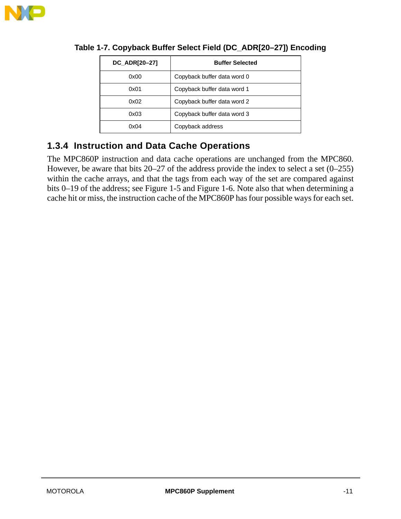

| DC_ADR[20-27] | <b>Buffer Selected</b>      |
|---------------|-----------------------------|
| 0x00          | Copyback buffer data word 0 |
| 0x01          | Copyback buffer data word 1 |
| 0x02          | Copyback buffer data word 2 |
| 0x03          | Copyback buffer data word 3 |
| 0x04          | Copyback address            |

#### <span id="page-12-0"></span>**Table 1-7. Copyback Buffer Select Field (DC\_ADR[20–27]) Encoding**

## **1.3.4 Instruction and Data Cache Operations**

The MPC860P instruction and data cache operations are unchanged from the MPC860. However, be aware that bits 20–27 of the address provide the index to select a set (0–255) within the cache arrays, and that the tags from each way of the set are compared against bits 0–19 of the address; see [Figure 1-5](#page-8-0) and [Figure 1-6.](#page-9-0) Note also that when determining a cache hit or miss, the instruction cache of the MPC860P has four possible ways for each set.